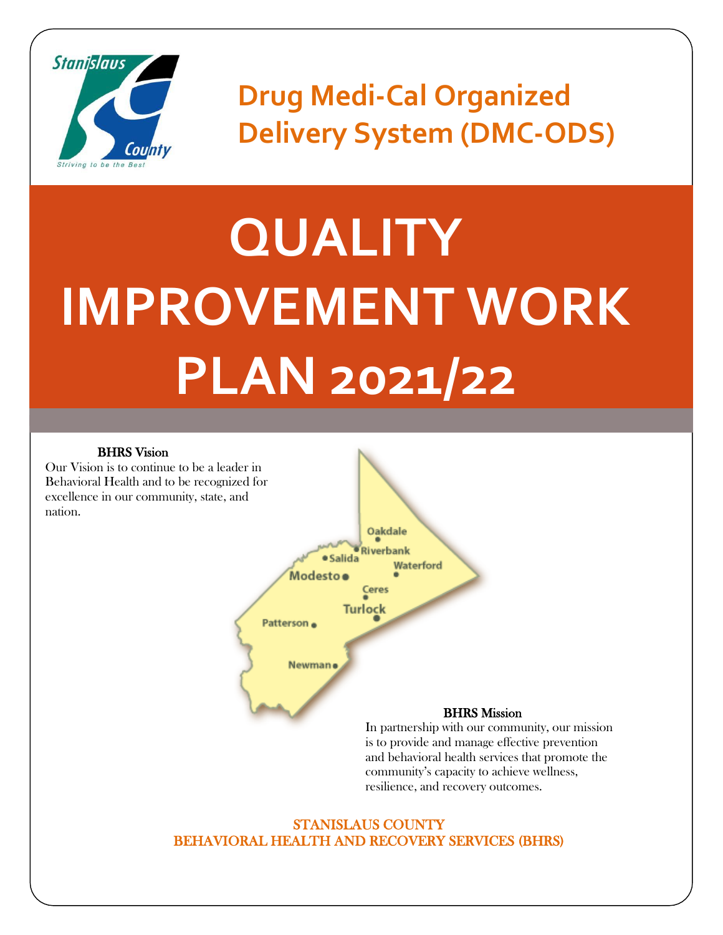

**Drug Medi-Cal Organized Delivery System (DMC-ODS)**

# **QUALITY IMPROVEMENT WORK PLAN 2021/22**

#### BHRS Vision

Our Vision is to continue to be a leader in Behavioral Health and to be recognized for excellence in our community, state, and nation.



In partnership with our community, our mission is to provide and manage effective prevention and behavioral health services that promote the community's capacity to achieve wellness, resilience, and recovery outcomes.

#### STANISLAUS COUNTY BEHAVIORAL HEALTH AND RECOVERY SERVICES (BHRS)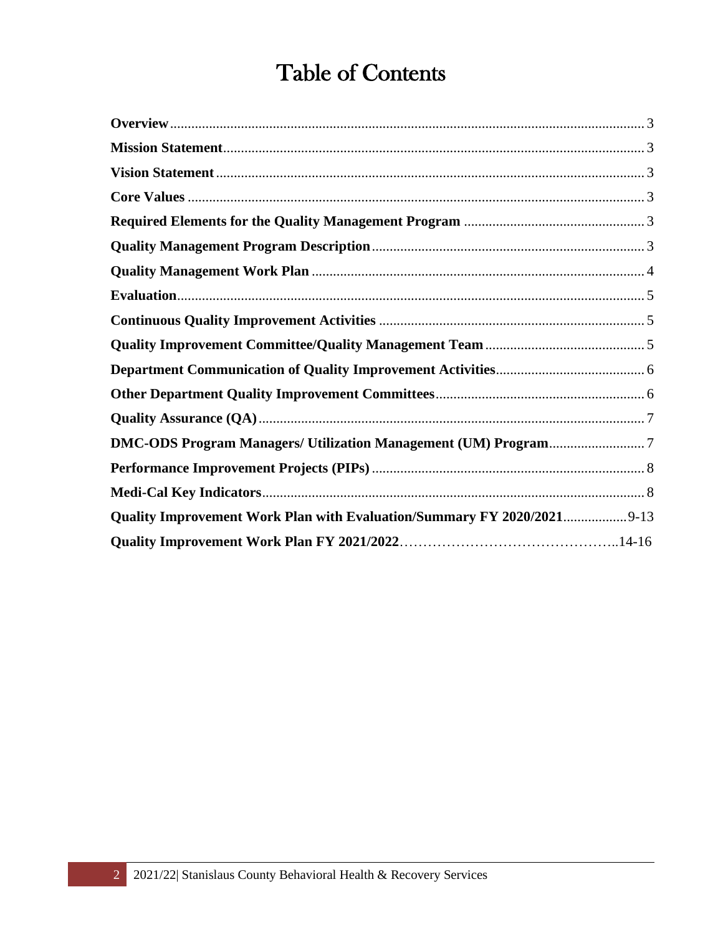# Table of Contents

| Quality Improvement Work Plan with Evaluation/Summary FY 2020/2021 9-13 |  |
|-------------------------------------------------------------------------|--|
|                                                                         |  |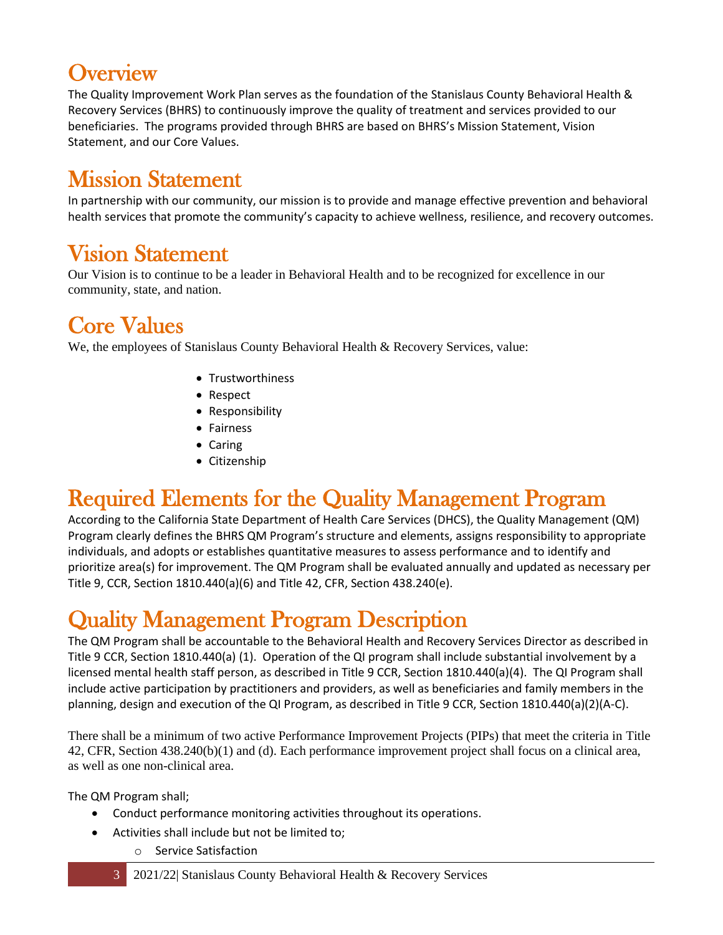#### <span id="page-2-0"></span>**Overview**

The Quality Improvement Work Plan serves as the foundation of the Stanislaus County Behavioral Health & Recovery Services (BHRS) to continuously improve the quality of treatment and services provided to our beneficiaries. The programs provided through BHRS are based on BHRS's Mission Statement, Vision Statement, and our Core Values.

# <span id="page-2-1"></span>Mission Statement

In partnership with our community, our mission is to provide and manage effective prevention and behavioral health services that promote the community's capacity to achieve wellness, resilience, and recovery outcomes.

# <span id="page-2-2"></span>Vision Statement

Our Vision is to continue to be a leader in Behavioral Health and to be recognized for excellence in our community, state, and nation.

# <span id="page-2-3"></span>Core Values

We, the employees of Stanislaus County Behavioral Health & Recovery Services, value:

- Trustworthiness
- Respect
- Responsibility
- Fairness
- Caring
- Citizenship

# <span id="page-2-4"></span>Required Elements for the Quality Management Program

According to the California State Department of Health Care Services (DHCS), the Quality Management (QM) Program clearly defines the BHRS QM Program's structure and elements, assigns responsibility to appropriate individuals, and adopts or establishes quantitative measures to assess performance and to identify and prioritize area(s) for improvement. The QM Program shall be evaluated annually and updated as necessary per Title 9, CCR, Section 1810.440(a)(6) and Title 42, CFR, Section 438.240(e).

# <span id="page-2-5"></span>Quality Management Program Description

The QM Program shall be accountable to the Behavioral Health and Recovery Services Director as described in Title 9 CCR, Section 1810.440(a) (1). Operation of the QI program shall include substantial involvement by a licensed mental health staff person, as described in Title 9 CCR, Section 1810.440(a)(4). The QI Program shall include active participation by practitioners and providers, as well as beneficiaries and family members in the planning, design and execution of the QI Program, as described in Title 9 CCR, Section 1810.440(a)(2)(A-C).

There shall be a minimum of two active Performance Improvement Projects (PIPs) that meet the criteria in Title 42, CFR, Section 438.240(b)(1) and (d). Each performance improvement project shall focus on a clinical area, as well as one non-clinical area.

The QM Program shall;

- Conduct performance monitoring activities throughout its operations.
- Activities shall include but not be limited to;
	- o Service Satisfaction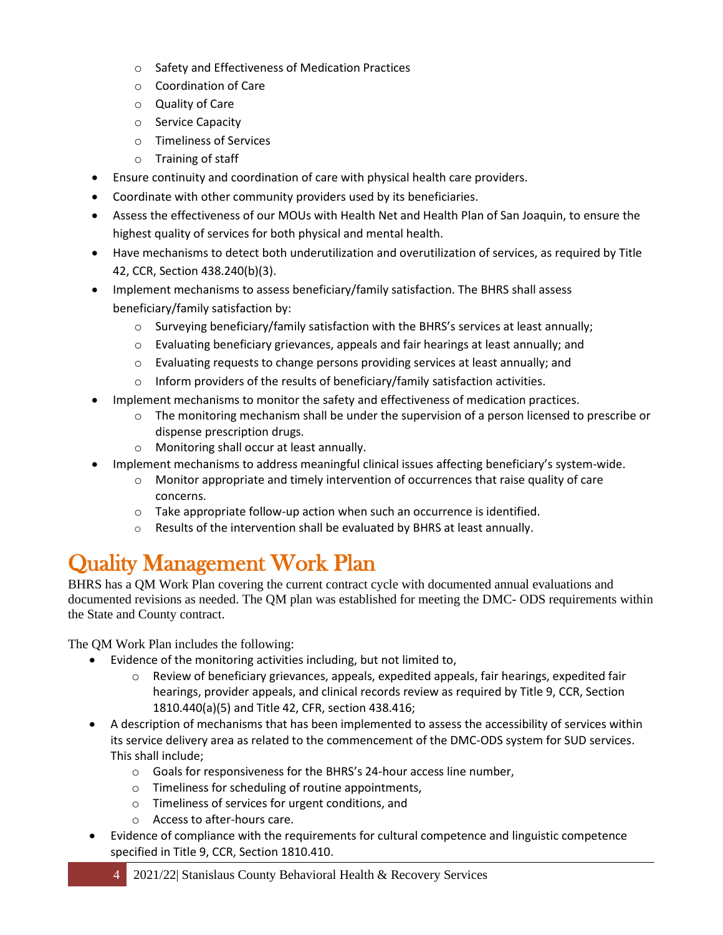- o Safety and Effectiveness of Medication Practices
- o Coordination of Care
- o Quality of Care
- o Service Capacity
- o Timeliness of Services
- o Training of staff
- Ensure continuity and coordination of care with physical health care providers.
- Coordinate with other community providers used by its beneficiaries.
- Assess the effectiveness of our MOUs with Health Net and Health Plan of San Joaquin, to ensure the highest quality of services for both physical and mental health.
- Have mechanisms to detect both underutilization and overutilization of services, as required by Title 42, CCR, Section 438.240(b)(3).
- Implement mechanisms to assess beneficiary/family satisfaction. The BHRS shall assess beneficiary/family satisfaction by:
	- $\circ$  Surveying beneficiary/family satisfaction with the BHRS's services at least annually;
	- o Evaluating beneficiary grievances, appeals and fair hearings at least annually; and
	- o Evaluating requests to change persons providing services at least annually; and
	- o Inform providers of the results of beneficiary/family satisfaction activities.
- Implement mechanisms to monitor the safety and effectiveness of medication practices.
	- $\circ$  The monitoring mechanism shall be under the supervision of a person licensed to prescribe or dispense prescription drugs.
	- o Monitoring shall occur at least annually.
	- Implement mechanisms to address meaningful clinical issues affecting beneficiary's system-wide.
		- $\circ$  Monitor appropriate and timely intervention of occurrences that raise quality of care concerns.
		- o Take appropriate follow-up action when such an occurrence is identified.
		- o Results of the intervention shall be evaluated by BHRS at least annually.

# <span id="page-3-0"></span>Quality Management Work Plan

BHRS has a QM Work Plan covering the current contract cycle with documented annual evaluations and documented revisions as needed. The QM plan was established for meeting the DMC- ODS requirements within the State and County contract.

The QM Work Plan includes the following:

- Evidence of the monitoring activities including, but not limited to,
	- $\circ$  Review of beneficiary grievances, appeals, expedited appeals, fair hearings, expedited fair hearings, provider appeals, and clinical records review as required by Title 9, CCR, Section 1810.440(a)(5) and Title 42, CFR, section 438.416;
- A description of mechanisms that has been implemented to assess the accessibility of services within its service delivery area as related to the commencement of the DMC-ODS system for SUD services. This shall include;
	- o Goals for responsiveness for the BHRS's 24-hour access line number,
	- o Timeliness for scheduling of routine appointments,
	- o Timeliness of services for urgent conditions, and
	- o Access to after-hours care.
- Evidence of compliance with the requirements for cultural competence and linguistic competence specified in Title 9, CCR, Section 1810.410.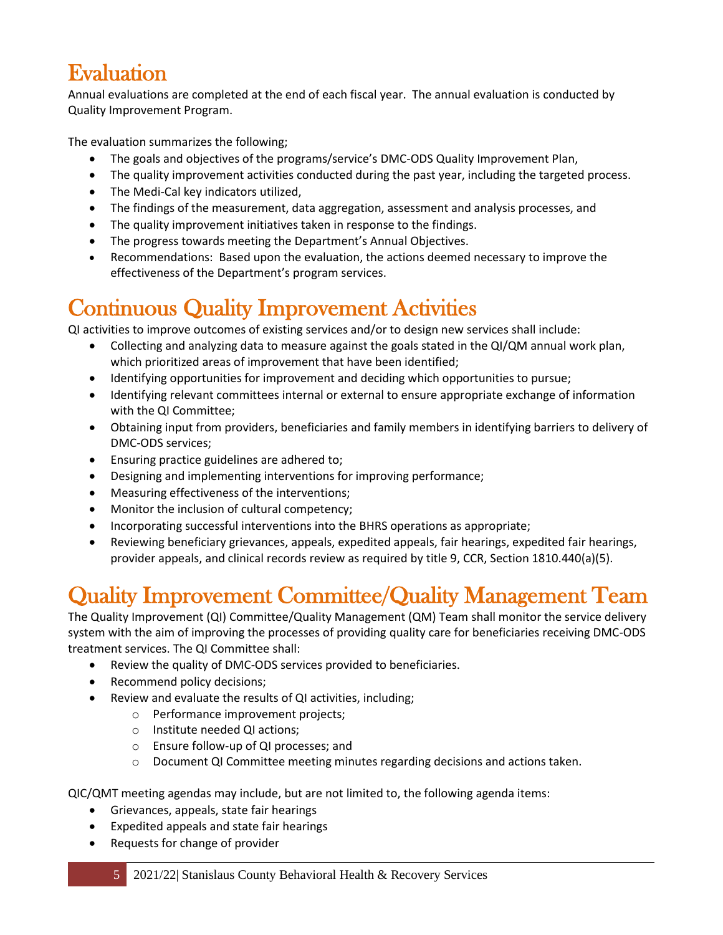# <span id="page-4-0"></span>Evaluation

Annual evaluations are completed at the end of each fiscal year. The annual evaluation is conducted by Quality Improvement Program.

The evaluation summarizes the following;

- The goals and objectives of the programs/service's DMC-ODS Quality Improvement Plan,
- The quality improvement activities conducted during the past year, including the targeted process.
- The Medi-Cal key indicators utilized,
- The findings of the measurement, data aggregation, assessment and analysis processes, and
- The quality improvement initiatives taken in response to the findings.
- The progress towards meeting the Department's Annual Objectives.
- Recommendations: Based upon the evaluation, the actions deemed necessary to improve the effectiveness of the Department's program services.

# <span id="page-4-1"></span>Continuous Quality Improvement Activities

QI activities to improve outcomes of existing services and/or to design new services shall include:

- Collecting and analyzing data to measure against the goals stated in the QI/QM annual work plan, which prioritized areas of improvement that have been identified;
- Identifying opportunities for improvement and deciding which opportunities to pursue;
- Identifying relevant committees internal or external to ensure appropriate exchange of information with the QI Committee;
- Obtaining input from providers, beneficiaries and family members in identifying barriers to delivery of DMC-ODS services;
- Ensuring practice guidelines are adhered to;
- Designing and implementing interventions for improving performance;
- Measuring effectiveness of the interventions;
- Monitor the inclusion of cultural competency;
- Incorporating successful interventions into the BHRS operations as appropriate;
- Reviewing beneficiary grievances, appeals, expedited appeals, fair hearings, expedited fair hearings, provider appeals, and clinical records review as required by title 9, CCR, Section 1810.440(a)(5).

# <span id="page-4-2"></span>Quality Improvement Committee/Quality Management Team

The Quality Improvement (QI) Committee/Quality Management (QM) Team shall monitor the service delivery system with the aim of improving the processes of providing quality care for beneficiaries receiving DMC-ODS treatment services. The QI Committee shall:

- Review the quality of DMC-ODS services provided to beneficiaries.
- Recommend policy decisions;
- Review and evaluate the results of QI activities, including;
	- o Performance improvement projects;
	- o Institute needed QI actions;
	- o Ensure follow-up of QI processes; and
	- o Document QI Committee meeting minutes regarding decisions and actions taken.

QIC/QMT meeting agendas may include, but are not limited to, the following agenda items:

- Grievances, appeals, state fair hearings
- Expedited appeals and state fair hearings
- Requests for change of provider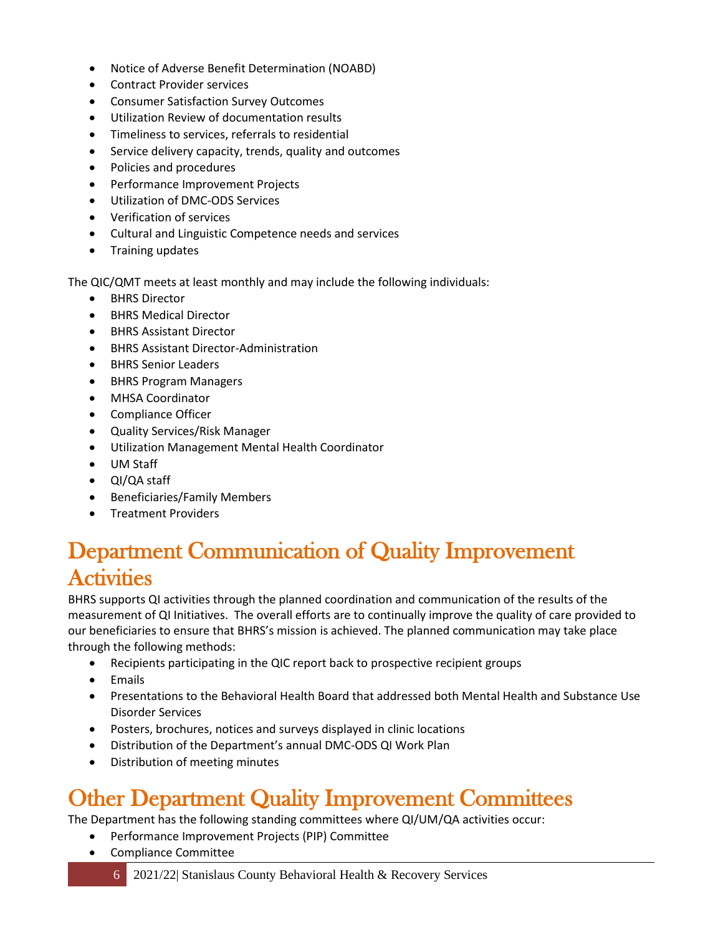- Notice of Adverse Benefit Determination (NOABD)
- Contract Provider services
- Consumer Satisfaction Survey Outcomes
- Utilization Review of documentation results
- Timeliness to services, referrals to residential
- Service delivery capacity, trends, quality and outcomes
- Policies and procedures
- Performance Improvement Projects
- Utilization of DMC-ODS Services
- Verification of services
- Cultural and Linguistic Competence needs and services
- Training updates

The QIC/QMT meets at least monthly and may include the following individuals:

- BHRS Director
- BHRS Medical Director
- BHRS Assistant Director
- BHRS Assistant Director-Administration
- BHRS Senior Leaders
- BHRS Program Managers
- MHSA Coordinator
- Compliance Officer
- Quality Services/Risk Manager
- Utilization Management Mental Health Coordinator
- UM Staff
- QI/QA staff
- Beneficiaries/Family Members
- Treatment Providers

#### <span id="page-5-0"></span>Department Communication of Quality Improvement **Activities**

BHRS supports QI activities through the planned coordination and communication of the results of the measurement of QI Initiatives. The overall efforts are to continually improve the quality of care provided to our beneficiaries to ensure that BHRS's mission is achieved. The planned communication may take place through the following methods:

- Recipients participating in the QIC report back to prospective recipient groups
- Emails
- Presentations to the Behavioral Health Board that addressed both Mental Health and Substance Use Disorder Services
- Posters, brochures, notices and surveys displayed in clinic locations
- Distribution of the Department's annual DMC-ODS QI Work Plan
- Distribution of meeting minutes

# <span id="page-5-1"></span>Other Department Quality Improvement Committees

The Department has the following standing committees where QI/UM/QA activities occur:

- Performance Improvement Projects (PIP) Committee
- Compliance Committee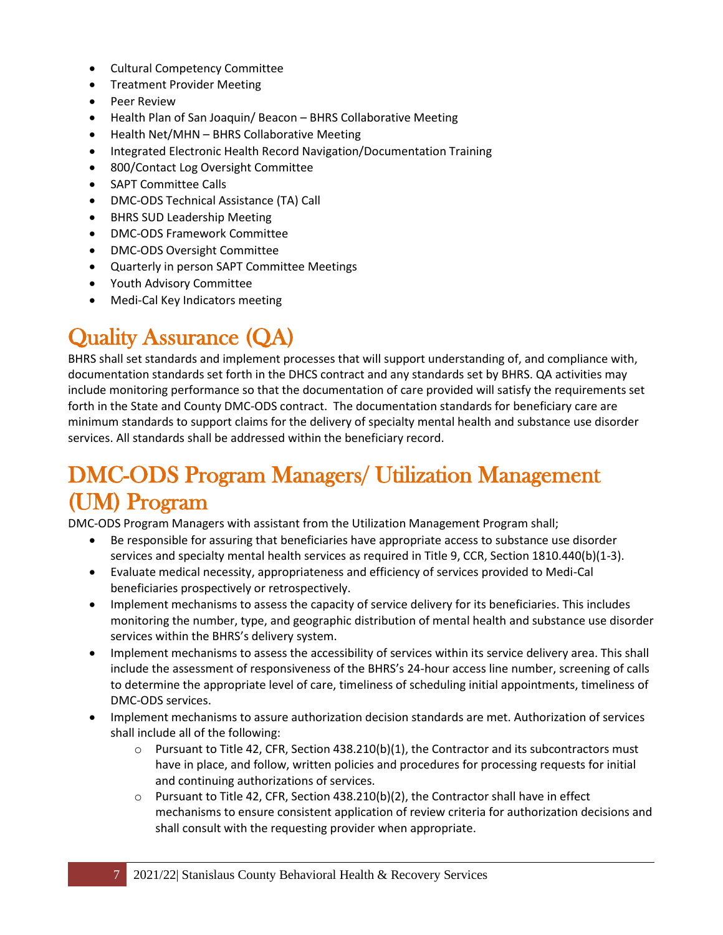- Cultural Competency Committee
- Treatment Provider Meeting
- Peer Review
- Health Plan of San Joaquin/ Beacon BHRS Collaborative Meeting
- Health Net/MHN BHRS Collaborative Meeting
- Integrated Electronic Health Record Navigation/Documentation Training
- 800/Contact Log Oversight Committee
- SAPT Committee Calls
- DMC-ODS Technical Assistance (TA) Call
- BHRS SUD Leadership Meeting
- DMC-ODS Framework Committee
- DMC-ODS Oversight Committee
- Quarterly in person SAPT Committee Meetings
- Youth Advisory Committee
- Medi-Cal Key Indicators meeting

# <span id="page-6-0"></span>Quality Assurance (QA)

BHRS shall set standards and implement processes that will support understanding of, and compliance with, documentation standards set forth in the DHCS contract and any standards set by BHRS. QA activities may include monitoring performance so that the documentation of care provided will satisfy the requirements set forth in the State and County DMC-ODS contract. The documentation standards for beneficiary care are minimum standards to support claims for the delivery of specialty mental health and substance use disorder services. All standards shall be addressed within the beneficiary record.

### <span id="page-6-1"></span>DMC-ODS Program Managers/ Utilization Management (UM) Program

DMC-ODS Program Managers with assistant from the Utilization Management Program shall;

- Be responsible for assuring that beneficiaries have appropriate access to substance use disorder services and specialty mental health services as required in Title 9, CCR, Section 1810.440(b)(1-3).
- Evaluate medical necessity, appropriateness and efficiency of services provided to Medi-Cal beneficiaries prospectively or retrospectively.
- Implement mechanisms to assess the capacity of service delivery for its beneficiaries. This includes monitoring the number, type, and geographic distribution of mental health and substance use disorder services within the BHRS's delivery system.
- Implement mechanisms to assess the accessibility of services within its service delivery area. This shall include the assessment of responsiveness of the BHRS's 24-hour access line number, screening of calls to determine the appropriate level of care, timeliness of scheduling initial appointments, timeliness of DMC-ODS services.
- Implement mechanisms to assure authorization decision standards are met. Authorization of services shall include all of the following:
	- $\circ$  Pursuant to Title 42, CFR, Section 438.210(b)(1), the Contractor and its subcontractors must have in place, and follow, written policies and procedures for processing requests for initial and continuing authorizations of services.
	- $\circ$  Pursuant to Title 42, CFR, Section 438.210(b)(2), the Contractor shall have in effect mechanisms to ensure consistent application of review criteria for authorization decisions and shall consult with the requesting provider when appropriate.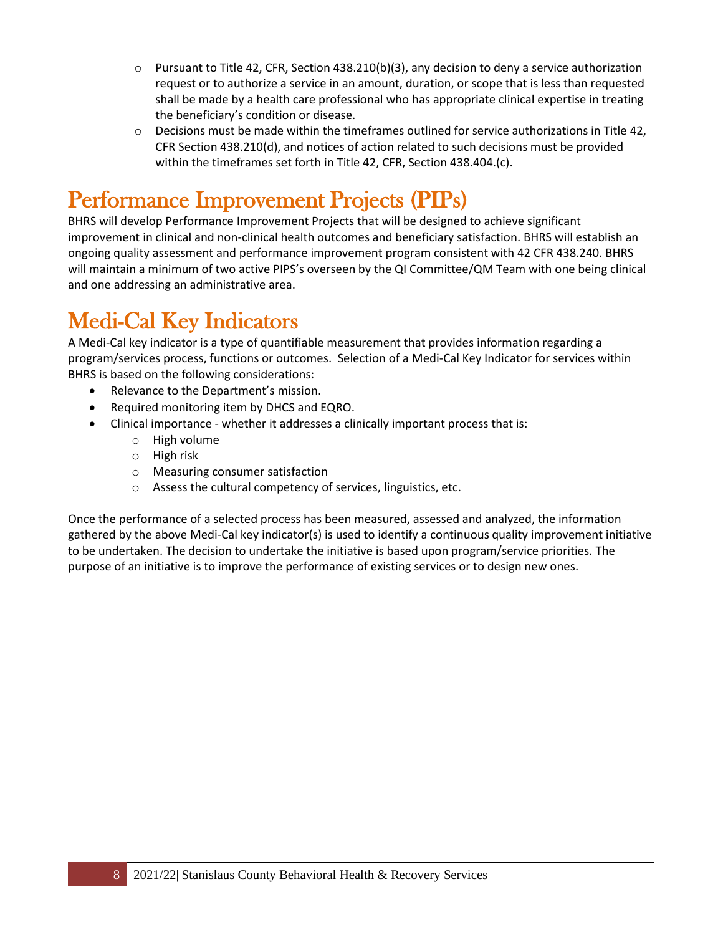- $\circ$  Pursuant to Title 42, CFR, Section 438.210(b)(3), any decision to deny a service authorization request or to authorize a service in an amount, duration, or scope that is less than requested shall be made by a health care professional who has appropriate clinical expertise in treating the beneficiary's condition or disease.
- $\circ$  Decisions must be made within the timeframes outlined for service authorizations in Title 42, CFR Section 438.210(d), and notices of action related to such decisions must be provided within the timeframes set forth in Title 42, CFR, Section 438.404.(c).

# <span id="page-7-0"></span>Performance Improvement Projects (PIPs)

BHRS will develop Performance Improvement Projects that will be designed to achieve significant improvement in clinical and non-clinical health outcomes and beneficiary satisfaction. BHRS will establish an ongoing quality assessment and performance improvement program consistent with 42 CFR 438.240. BHRS will maintain a minimum of two active PIPS's overseen by the QI Committee/QM Team with one being clinical and one addressing an administrative area.

# <span id="page-7-1"></span>Medi-Cal Key Indicators

A Medi-Cal key indicator is a type of quantifiable measurement that provides information regarding a program/services process, functions or outcomes. Selection of a Medi-Cal Key Indicator for services within BHRS is based on the following considerations:

- Relevance to the Department's mission.
- Required monitoring item by DHCS and EQRO.
- Clinical importance whether it addresses a clinically important process that is:
	- o High volume
	- o High risk
	- o Measuring consumer satisfaction
	- o Assess the cultural competency of services, linguistics, etc.

Once the performance of a selected process has been measured, assessed and analyzed, the information gathered by the above Medi-Cal key indicator(s) is used to identify a continuous quality improvement initiative to be undertaken. The decision to undertake the initiative is based upon program/service priorities. The purpose of an initiative is to improve the performance of existing services or to design new ones.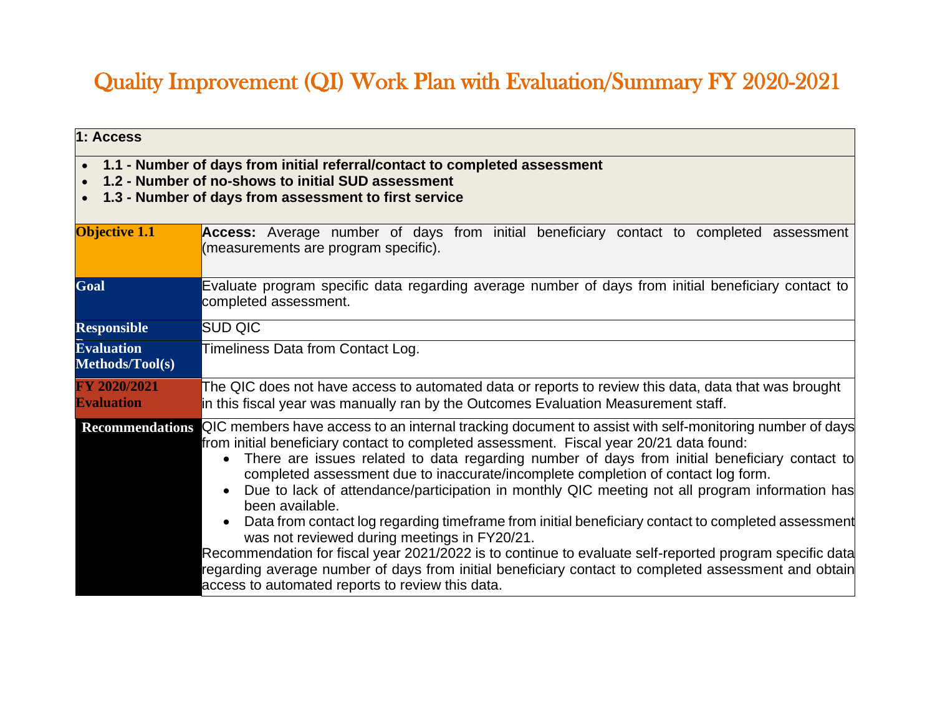# Quality Improvement (QI) Work Plan with Evaluation/Summary FY 2020-2021

| 1: Access                                                                                                                                                                                   |                                                                                                                                                                                                                                                                                                                                                                                                                                                                                                                                                                                                                                                                                                                                                                                                                                                                                                                                                                                                  |  |
|---------------------------------------------------------------------------------------------------------------------------------------------------------------------------------------------|--------------------------------------------------------------------------------------------------------------------------------------------------------------------------------------------------------------------------------------------------------------------------------------------------------------------------------------------------------------------------------------------------------------------------------------------------------------------------------------------------------------------------------------------------------------------------------------------------------------------------------------------------------------------------------------------------------------------------------------------------------------------------------------------------------------------------------------------------------------------------------------------------------------------------------------------------------------------------------------------------|--|
| • 1.1 - Number of days from initial referral/contact to completed assessment<br>1.2 - Number of no-shows to initial SUD assessment<br>1.3 - Number of days from assessment to first service |                                                                                                                                                                                                                                                                                                                                                                                                                                                                                                                                                                                                                                                                                                                                                                                                                                                                                                                                                                                                  |  |
| <b>Objective 1.1</b>                                                                                                                                                                        | Access: Average number of days from initial beneficiary contact to completed assessment<br>(measurements are program specific).                                                                                                                                                                                                                                                                                                                                                                                                                                                                                                                                                                                                                                                                                                                                                                                                                                                                  |  |
| Goal                                                                                                                                                                                        | Evaluate program specific data regarding average number of days from initial beneficiary contact to<br>completed assessment.                                                                                                                                                                                                                                                                                                                                                                                                                                                                                                                                                                                                                                                                                                                                                                                                                                                                     |  |
| <b>Responsible</b>                                                                                                                                                                          | <b>SUD QIC</b>                                                                                                                                                                                                                                                                                                                                                                                                                                                                                                                                                                                                                                                                                                                                                                                                                                                                                                                                                                                   |  |
| <b>Evaluation</b><br>Methods/Tool(s)                                                                                                                                                        | Timeliness Data from Contact Log.                                                                                                                                                                                                                                                                                                                                                                                                                                                                                                                                                                                                                                                                                                                                                                                                                                                                                                                                                                |  |
| FY 2020/2021<br><b>Evaluation</b>                                                                                                                                                           | The QIC does not have access to automated data or reports to review this data, data that was brought<br>in this fiscal year was manually ran by the Outcomes Evaluation Measurement staff.                                                                                                                                                                                                                                                                                                                                                                                                                                                                                                                                                                                                                                                                                                                                                                                                       |  |
|                                                                                                                                                                                             | Recommendations QIC members have access to an internal tracking document to assist with self-monitoring number of days<br>from initial beneficiary contact to completed assessment. Fiscal year 20/21 data found:<br>There are issues related to data regarding number of days from initial beneficiary contact to<br>$\bullet$<br>completed assessment due to inaccurate/incomplete completion of contact log form.<br>Due to lack of attendance/participation in monthly QIC meeting not all program information has<br>$\bullet$<br>been available.<br>Data from contact log regarding timeframe from initial beneficiary contact to completed assessment<br>$\bullet$<br>was not reviewed during meetings in FY20/21.<br>Recommendation for fiscal year 2021/2022 is to continue to evaluate self-reported program specific data<br>regarding average number of days from initial beneficiary contact to completed assessment and obtain<br>access to automated reports to review this data. |  |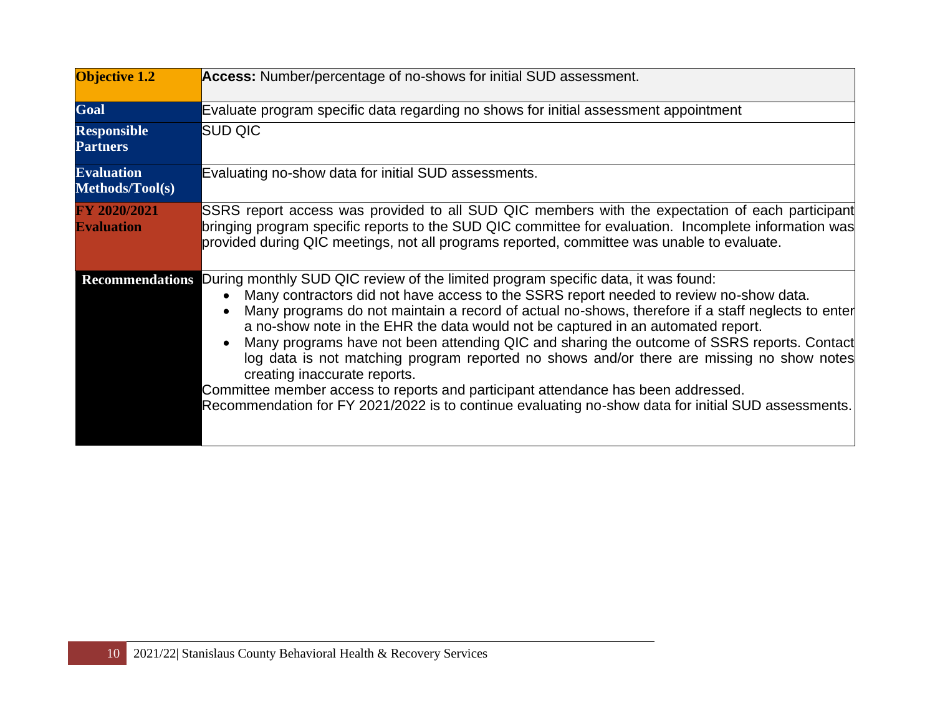| <b>Objective 1.2</b>                  | Access: Number/percentage of no-shows for initial SUD assessment.                                                                                                                                                                                                                                                                                                                                                                                                                                                                                                                                                                                                                                                                                                                           |
|---------------------------------------|---------------------------------------------------------------------------------------------------------------------------------------------------------------------------------------------------------------------------------------------------------------------------------------------------------------------------------------------------------------------------------------------------------------------------------------------------------------------------------------------------------------------------------------------------------------------------------------------------------------------------------------------------------------------------------------------------------------------------------------------------------------------------------------------|
| Goal                                  | Evaluate program specific data regarding no shows for initial assessment appointment                                                                                                                                                                                                                                                                                                                                                                                                                                                                                                                                                                                                                                                                                                        |
| <b>Responsible</b><br><b>Partners</b> | <b>SUD QIC</b>                                                                                                                                                                                                                                                                                                                                                                                                                                                                                                                                                                                                                                                                                                                                                                              |
| <b>Evaluation</b><br>Methods/Tool(s)  | Evaluating no-show data for initial SUD assessments.                                                                                                                                                                                                                                                                                                                                                                                                                                                                                                                                                                                                                                                                                                                                        |
| FY 2020/2021<br><b>Evaluation</b>     | SSRS report access was provided to all SUD QIC members with the expectation of each participant<br>bringing program specific reports to the SUD QIC committee for evaluation. Incomplete information was<br>provided during QIC meetings, not all programs reported, committee was unable to evaluate.                                                                                                                                                                                                                                                                                                                                                                                                                                                                                      |
| <b>Recommendations</b>                | During monthly SUD QIC review of the limited program specific data, it was found:<br>Many contractors did not have access to the SSRS report needed to review no-show data.<br>Many programs do not maintain a record of actual no-shows, therefore if a staff neglects to enter<br>a no-show note in the EHR the data would not be captured in an automated report.<br>Many programs have not been attending QIC and sharing the outcome of SSRS reports. Contact<br>log data is not matching program reported no shows and/or there are missing no show notes<br>creating inaccurate reports.<br>Committee member access to reports and participant attendance has been addressed.<br>Recommendation for FY 2021/2022 is to continue evaluating no-show data for initial SUD assessments. |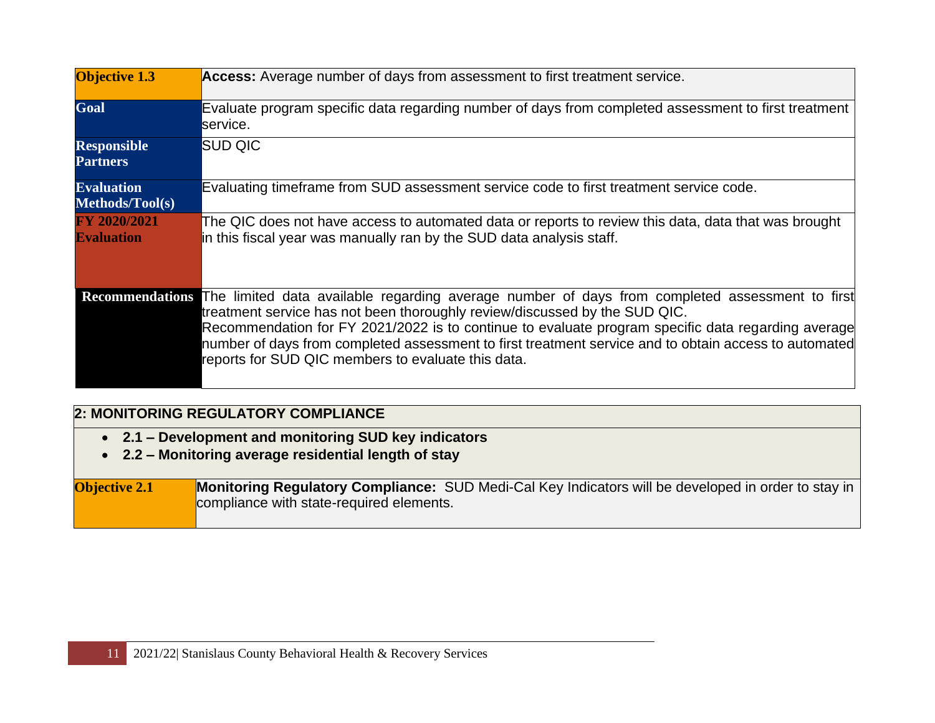| <b>Objective 1.3</b>                  | Access: Average number of days from assessment to first treatment service.                                                                                                                                                                                                                                                                                                                                                                                        |
|---------------------------------------|-------------------------------------------------------------------------------------------------------------------------------------------------------------------------------------------------------------------------------------------------------------------------------------------------------------------------------------------------------------------------------------------------------------------------------------------------------------------|
| Goal                                  | Evaluate program specific data regarding number of days from completed assessment to first treatment<br>service.                                                                                                                                                                                                                                                                                                                                                  |
| <b>Responsible</b><br><b>Partners</b> | SUD QIC                                                                                                                                                                                                                                                                                                                                                                                                                                                           |
| <b>Evaluation</b><br>Methods/Tool(s)  | Evaluating timeframe from SUD assessment service code to first treatment service code.                                                                                                                                                                                                                                                                                                                                                                            |
| FY 2020/2021<br><b>Evaluation</b>     | The QIC does not have access to automated data or reports to review this data, data that was brought<br>in this fiscal year was manually ran by the SUD data analysis staff.                                                                                                                                                                                                                                                                                      |
|                                       | Recommendations The limited data available regarding average number of days from completed assessment to first<br>treatment service has not been thoroughly review/discussed by the SUD QIC.<br>Recommendation for FY 2021/2022 is to continue to evaluate program specific data regarding average<br>number of days from completed assessment to first treatment service and to obtain access to automated<br>reports for SUD QIC members to evaluate this data. |

#### **2: MONITORING REGULATORY COMPLIANCE**

- **2.1 – Development and monitoring SUD key indicators**
- **2.2 – Monitoring average residential length of stay**

#### **Objective 2.1 Monitoring Regulatory Compliance:** SUD Medi-Cal Key Indicators will be developed in order to stay in compliance with state-required elements.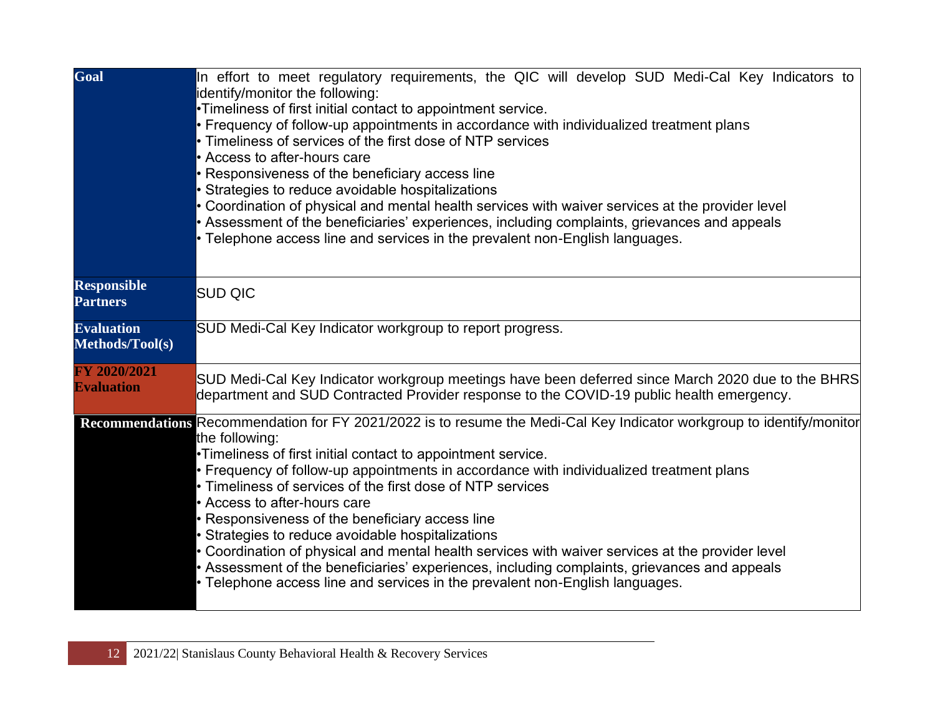| Goal                                  | In effort to meet regulatory requirements, the QIC will develop SUD Medi-Cal Key Indicators to<br>identify/monitor the following:<br>•Timeliness of first initial contact to appointment service.<br>• Frequency of follow-up appointments in accordance with individualized treatment plans<br>• Timeliness of services of the first dose of NTP services<br>• Access to after-hours care<br>• Responsiveness of the beneficiary access line<br>• Strategies to reduce avoidable hospitalizations<br>• Coordination of physical and mental health services with waiver services at the provider level<br>• Assessment of the beneficiaries' experiences, including complaints, grievances and appeals<br>• Telephone access line and services in the prevalent non-English languages.       |
|---------------------------------------|----------------------------------------------------------------------------------------------------------------------------------------------------------------------------------------------------------------------------------------------------------------------------------------------------------------------------------------------------------------------------------------------------------------------------------------------------------------------------------------------------------------------------------------------------------------------------------------------------------------------------------------------------------------------------------------------------------------------------------------------------------------------------------------------|
| <b>Responsible</b><br><b>Partners</b> | <b>SUD QIC</b>                                                                                                                                                                                                                                                                                                                                                                                                                                                                                                                                                                                                                                                                                                                                                                               |
| <b>Evaluation</b><br>Methods/Tool(s)  | SUD Medi-Cal Key Indicator workgroup to report progress.                                                                                                                                                                                                                                                                                                                                                                                                                                                                                                                                                                                                                                                                                                                                     |
| FY 2020/2021<br><b>Evaluation</b>     | SUD Medi-Cal Key Indicator workgroup meetings have been deferred since March 2020 due to the BHRS<br>department and SUD Contracted Provider response to the COVID-19 public health emergency.                                                                                                                                                                                                                                                                                                                                                                                                                                                                                                                                                                                                |
|                                       | Recommendations Recommendation for FY 2021/2022 is to resume the Medi-Cal Key Indicator workgroup to identify/monitor<br>the following:<br>•Timeliness of first initial contact to appointment service.<br>• Frequency of follow-up appointments in accordance with individualized treatment plans<br>• Timeliness of services of the first dose of NTP services<br>• Access to after-hours care<br>• Responsiveness of the beneficiary access line<br>• Strategies to reduce avoidable hospitalizations<br>• Coordination of physical and mental health services with waiver services at the provider level<br>• Assessment of the beneficiaries' experiences, including complaints, grievances and appeals<br>• Telephone access line and services in the prevalent non-English languages. |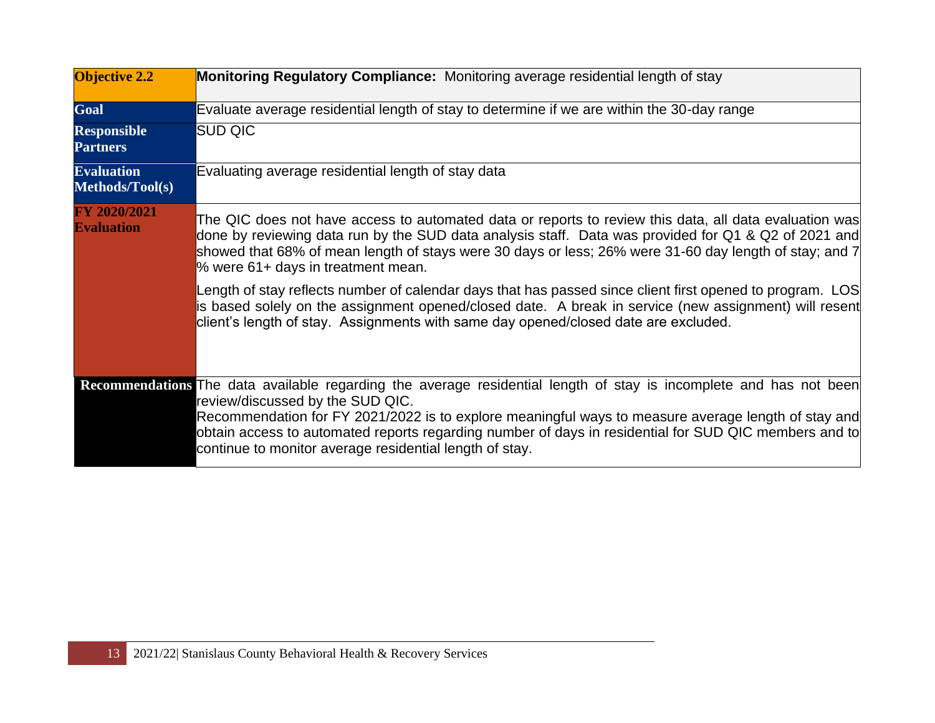| <b>Objective 2.2</b>                        | Monitoring Regulatory Compliance: Monitoring average residential length of stay                                                                                                                                                                                                                                                                                                                                                   |
|---------------------------------------------|-----------------------------------------------------------------------------------------------------------------------------------------------------------------------------------------------------------------------------------------------------------------------------------------------------------------------------------------------------------------------------------------------------------------------------------|
| Goal                                        | Evaluate average residential length of stay to determine if we are within the 30-day range                                                                                                                                                                                                                                                                                                                                        |
| <b>Responsible</b><br><b>Partners</b>       | SUD QIC                                                                                                                                                                                                                                                                                                                                                                                                                           |
| <b>Evaluation</b><br><b>Methods/Tool(s)</b> | Evaluating average residential length of stay data                                                                                                                                                                                                                                                                                                                                                                                |
| FY 2020/2021<br><b>Evaluation</b>           | The QIC does not have access to automated data or reports to review this data, all data evaluation was<br>done by reviewing data run by the SUD data analysis staff. Data was provided for Q1 & Q2 of 2021 and<br>showed that 68% of mean length of stays were 30 days or less; 26% were 31-60 day length of stay; and 7<br>% were 61+ days in treatment mean.                                                                    |
|                                             | Length of stay reflects number of calendar days that has passed since client first opened to program. LOS<br>is based solely on the assignment opened/closed date. A break in service (new assignment) will resent<br>client's length of stay. Assignments with same day opened/closed date are excluded.                                                                                                                         |
|                                             | Recommendations The data available regarding the average residential length of stay is incomplete and has not been<br>review/discussed by the SUD QIC.<br>Recommendation for FY 2021/2022 is to explore meaningful ways to measure average length of stay and<br>obtain access to automated reports regarding number of days in residential for SUD QIC members and to<br>continue to monitor average residential length of stay. |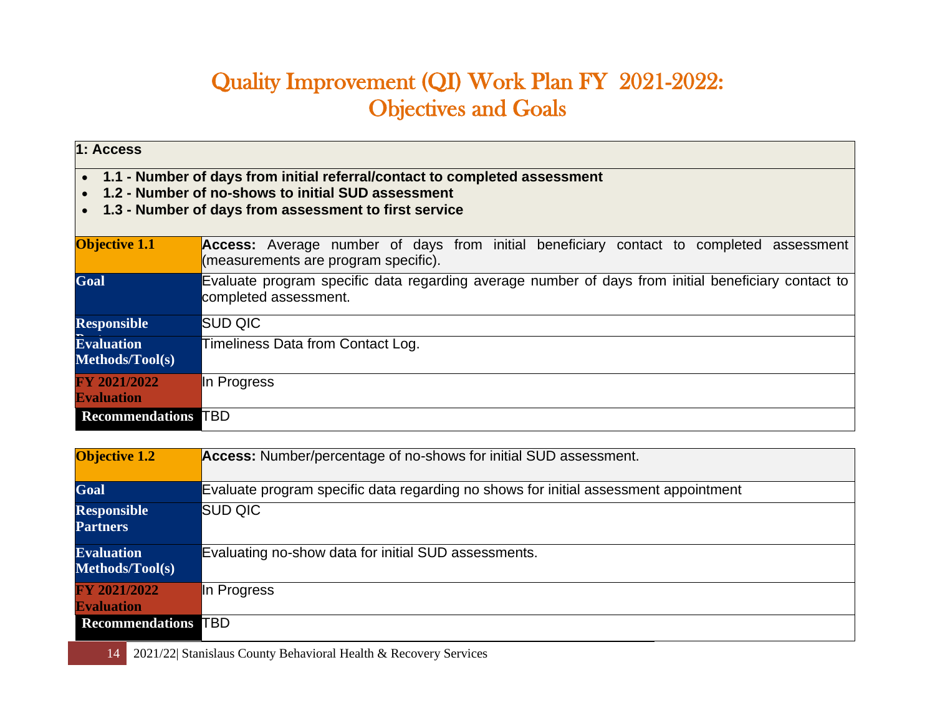# Quality Improvement (QI) Work Plan FY 2021-2022: Objectives and Goals

| 1: Access                                                                                                                                                                                 |                                                                                                                                    |
|-------------------------------------------------------------------------------------------------------------------------------------------------------------------------------------------|------------------------------------------------------------------------------------------------------------------------------------|
| 1.1 - Number of days from initial referral/contact to completed assessment<br>1.2 - Number of no-shows to initial SUD assessment<br>1.3 - Number of days from assessment to first service |                                                                                                                                    |
| <b>Objective 1.1</b>                                                                                                                                                                      | Access: Average number of days from initial beneficiary contact to completed<br>assessment<br>(measurements are program specific). |
| Goal                                                                                                                                                                                      | Evaluate program specific data regarding average number of days from initial beneficiary contact to<br>completed assessment.       |
| <b>Responsible</b>                                                                                                                                                                        | <b>SUD QIC</b>                                                                                                                     |
| <b>Evaluation</b><br>Methods/Tool(s)                                                                                                                                                      | Timeliness Data from Contact Log.                                                                                                  |
| <b>FY 2021/2022</b><br><b>Evaluation</b>                                                                                                                                                  | In Progress                                                                                                                        |
| <b>Recommendations TBD</b>                                                                                                                                                                |                                                                                                                                    |

| <b>Objective 1.2</b>                        | Access: Number/percentage of no-shows for initial SUD assessment.                    |
|---------------------------------------------|--------------------------------------------------------------------------------------|
| Goal                                        | Evaluate program specific data regarding no shows for initial assessment appointment |
| <b>Responsible</b><br><b>Partners</b>       | <b>SUD QIC</b>                                                                       |
| <b>Evaluation</b><br><b>Methods/Tool(s)</b> | Evaluating no-show data for initial SUD assessments.                                 |
| FY 2021/2022<br><b>Evaluation</b>           | In Progress                                                                          |
| <b>Recommendations TBD</b>                  |                                                                                      |

14 2021/22| Stanislaus County Behavioral Health & Recovery Services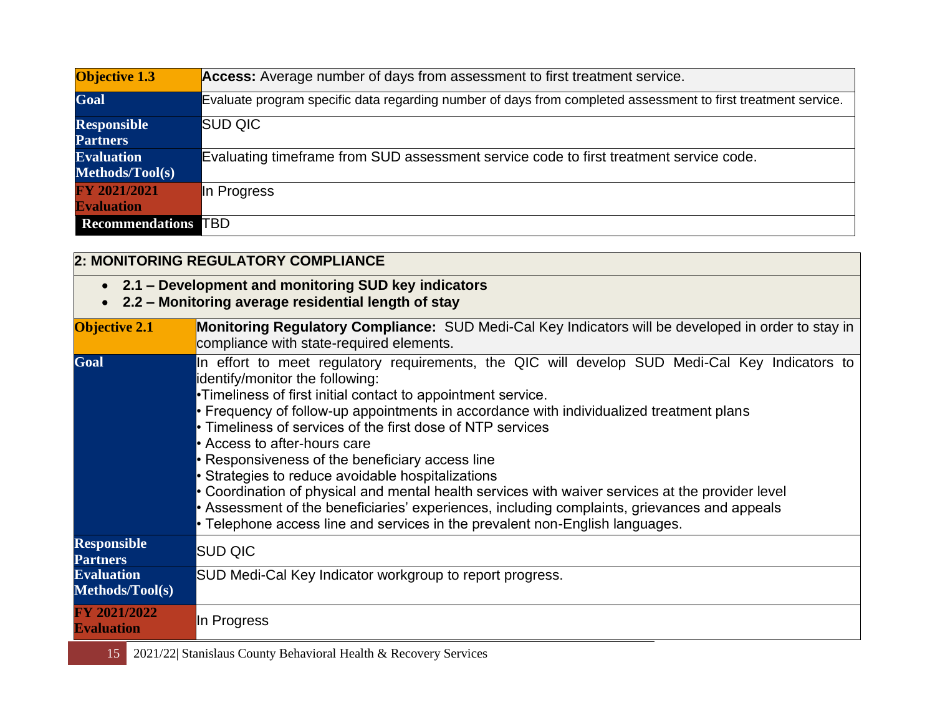| <b>Objective 1.3</b>       | Access: Average number of days from assessment to first treatment service.                                    |
|----------------------------|---------------------------------------------------------------------------------------------------------------|
| Goal                       | Evaluate program specific data regarding number of days from completed assessment to first treatment service. |
| <b>Responsible</b>         | <b>SUD QIC</b>                                                                                                |
| <b>Partners</b>            |                                                                                                               |
| <b>Evaluation</b>          | Evaluating timeframe from SUD assessment service code to first treatment service code.                        |
| Methods/Tool(s)            |                                                                                                               |
| FY 2021/2021               | In Progress                                                                                                   |
| <b>Evaluation</b>          |                                                                                                               |
| <b>Recommendations TBD</b> |                                                                                                               |

| 2: MONITORING REGULATORY COMPLIANCE                                                                          |                                                                                                                                                                                                                                                                                                                                                                                                                                                                                                                                                                                                                                                                                                                                                                                     |  |
|--------------------------------------------------------------------------------------------------------------|-------------------------------------------------------------------------------------------------------------------------------------------------------------------------------------------------------------------------------------------------------------------------------------------------------------------------------------------------------------------------------------------------------------------------------------------------------------------------------------------------------------------------------------------------------------------------------------------------------------------------------------------------------------------------------------------------------------------------------------------------------------------------------------|--|
| • 2.1 – Development and monitoring SUD key indicators<br>2.2 - Monitoring average residential length of stay |                                                                                                                                                                                                                                                                                                                                                                                                                                                                                                                                                                                                                                                                                                                                                                                     |  |
| <b>Objective 2.1</b>                                                                                         | Monitoring Regulatory Compliance: SUD Medi-Cal Key Indicators will be developed in order to stay in<br>compliance with state-required elements.                                                                                                                                                                                                                                                                                                                                                                                                                                                                                                                                                                                                                                     |  |
| Goal                                                                                                         | In effort to meet regulatory requirements, the QIC will develop SUD Medi-Cal Key Indicators to<br>identify/monitor the following:<br>Timeliness of first initial contact to appointment service.<br>Frequency of follow-up appointments in accordance with individualized treatment plans<br>• Timeliness of services of the first dose of NTP services<br>• Access to after-hours care<br>• Responsiveness of the beneficiary access line<br>• Strategies to reduce avoidable hospitalizations<br>• Coordination of physical and mental health services with waiver services at the provider level<br>• Assessment of the beneficiaries' experiences, including complaints, grievances and appeals<br>• Telephone access line and services in the prevalent non-English languages. |  |
| <b>Responsible</b><br><b>Partners</b>                                                                        | <b>SUD QIC</b>                                                                                                                                                                                                                                                                                                                                                                                                                                                                                                                                                                                                                                                                                                                                                                      |  |
| <b>Evaluation</b><br>Methods/Tool(s)                                                                         | SUD Medi-Cal Key Indicator workgroup to report progress.                                                                                                                                                                                                                                                                                                                                                                                                                                                                                                                                                                                                                                                                                                                            |  |
| FY 2021/2022<br><b>Evaluation</b>                                                                            | In Progress                                                                                                                                                                                                                                                                                                                                                                                                                                                                                                                                                                                                                                                                                                                                                                         |  |

15 2021/22| Stanislaus County Behavioral Health & Recovery Services